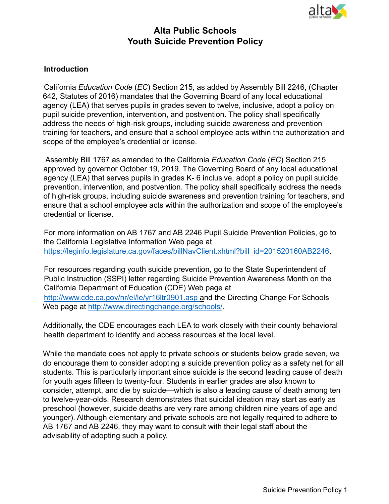

# **Alta Public Schools Youth Suicide Prevention Policy**

#### **Introduction**

California *Education Code* (*EC*) Section 215, as added by Assembly Bill 2246, (Chapter 642, Statutes of 2016) mandates that the Governing Board of any local educational agency (LEA) that serves pupils in grades seven to twelve, inclusive, adopt a policy on pupil suicide prevention, intervention, and postvention. The policy shall specifically address the needs of high-risk groups, including suicide awareness and prevention training for teachers, and ensure that a school employee acts within the authorization and scope of the employee's credential or license.

Assembly Bill 1767 as amended to the California *Education Code* (*EC*) Section 215 approved by governor October 19, 2019. The Governing Board of any local educational agency (LEA) that serves pupils in grades K- 6 inclusive, adopt a policy on pupil suicide prevention, intervention, and postvention. The policy shall specifically address the needs of high-risk groups, including suicide awareness and prevention training for teachers, and ensure that a school employee acts within the authorization and scope of the employee's credential or license.

For more information on AB 1767 and AB 2246 Pupil Suicide Prevention Policies, go to the California Legislative Information Web page at https://leginfo.legislature.ca.gov/faces/billNavClient.xhtml?bill\_id=201520160AB2246.

For resources regarding youth suicide prevention, go to the State Superintendent of Public Instruction (SSPI) letter regarding Suicide Prevention Awareness Month on the California Department of Education (CDE) Web page at

http://www.cde.ca.gov/nr/el/le/yr16ltr0901.asp and the Directing Change For Schools Web page at http://www.directingchange.org/schools/.

Additionally, the CDE encourages each LEA to work closely with their county behavioral health department to identify and access resources at the local level.

While the mandate does not apply to private schools or students below grade seven, we do encourage them to consider adopting a suicide prevention policy as a safety net for all students. This is particularly important since suicide is the second leading cause of death for youth ages fifteen to twenty-four. Students in earlier grades are also known to consider, attempt, and die by suicide—which is also a leading cause of death among ten to twelve-year-olds. Research demonstrates that suicidal ideation may start as early as preschool (however, suicide deaths are very rare among children nine years of age and younger). Although elementary and private schools are not legally required to adhere to AB 1767 and AB 2246, they may want to consult with their legal staff about the advisability of adopting such a policy.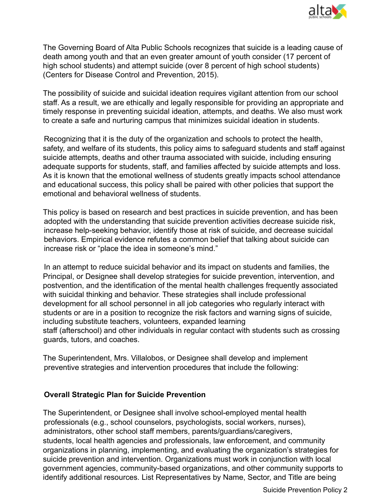

The Governing Board of Alta Public Schools recognizes that suicide is a leading cause of death among youth and that an even greater amount of youth consider (17 percent of high school students) and attempt suicide (over 8 percent of high school students) (Centers for Disease Control and Prevention, 2015).

The possibility of suicide and suicidal ideation requires vigilant attention from our school staff. As a result, we are ethically and legally responsible for providing an appropriate and timely response in preventing suicidal ideation, attempts, and deaths. We also must work to create a safe and nurturing campus that minimizes suicidal ideation in students.

Recognizing that it is the duty of the organization and schools to protect the health, safety, and welfare of its students, this policy aims to safeguard students and staff against suicide attempts, deaths and other trauma associated with suicide, including ensuring adequate supports for students, staff, and families affected by suicide attempts and loss. As it is known that the emotional wellness of students greatly impacts school attendance and educational success, this policy shall be paired with other policies that support the emotional and behavioral wellness of students.

This policy is based on research and best practices in suicide prevention, and has been adopted with the understanding that suicide prevention activities decrease suicide risk, increase help-seeking behavior, identify those at risk of suicide, and decrease suicidal behaviors. Empirical evidence refutes a common belief that talking about suicide can increase risk or "place the idea in someone's mind."

In an attempt to reduce suicidal behavior and its impact on students and families, the Principal, or Designee shall develop strategies for suicide prevention, intervention, and postvention, and the identification of the mental health challenges frequently associated with suicidal thinking and behavior. These strategies shall include professional development for all school personnel in all job categories who regularly interact with students or are in a position to recognize the risk factors and warning signs of suicide, including substitute teachers, volunteers, expanded learning staff (afterschool) and other individuals in regular contact with students such as crossing guards, tutors, and coaches.

The Superintendent, Mrs. Villalobos, or Designee shall develop and implement preventive strategies and intervention procedures that include the following:

#### **Overall Strategic Plan for Suicide Prevention**

The Superintendent, or Designee shall involve school-employed mental health professionals (e.g., school counselors, psychologists, social workers, nurses), administrators, other school staff members, parents/guardians/caregivers, students, local health agencies and professionals, law enforcement, and community organizations in planning, implementing, and evaluating the organization's strategies for suicide prevention and intervention. Organizations must work in conjunction with local government agencies, community-based organizations, and other community supports to identify additional resources. List Representatives by Name, Sector, and Title are being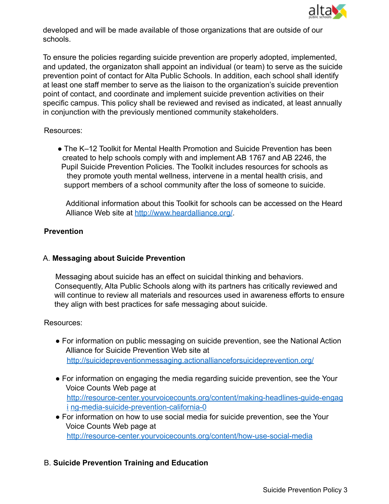

developed and will be made available of those organizations that are outside of our schools.

To ensure the policies regarding suicide prevention are properly adopted, implemented, and updated, the organizaton shall appoint an individual (or team) to serve as the suicide prevention point of contact for Alta Public Schools. In addition, each school shall identify at least one staff member to serve as the liaison to the organization's suicide prevention point of contact, and coordinate and implement suicide prevention activities on their specific campus. This policy shall be reviewed and revised as indicated, at least annually in conjunction with the previously mentioned community stakeholders.

#### Resources:

● The K–12 Toolkit for Mental Health Promotion and Suicide Prevention has been created to help schools comply with and implement AB 1767 and AB 2246, the Pupil Suicide Prevention Policies. The Toolkit includes resources for schools as they promote youth mental wellness, intervene in a mental health crisis, and support members of a school community after the loss of someone to suicide.

Additional information about this Toolkit for schools can be accessed on the Heard Alliance Web site at http://www.heardalliance.org/.

### **Prevention**

#### A. **Messaging about Suicide Prevention**

Messaging about suicide has an effect on suicidal thinking and behaviors. Consequently, Alta Public Schools along with its partners has critically reviewed and will continue to review all materials and resources used in awareness efforts to ensure they align with best practices for safe messaging about suicide.

#### Resources:

- For information on public messaging on suicide prevention, see the National Action Alliance for Suicide Prevention Web site at http://suicidepreventionmessaging.actionallianceforsuicideprevention.org/
- For information on engaging the media regarding suicide prevention, see the Your Voice Counts Web page at http://resource-center.yourvoicecounts.org/content/making-headlines-guide-engag i ng-media-suicide-prevention-california-0
- For information on how to use social media for suicide prevention, see the Your Voice Counts Web page at http://resource-center.yourvoicecounts.org/content/how-use-social-media

## B. **Suicide Prevention Training and Education**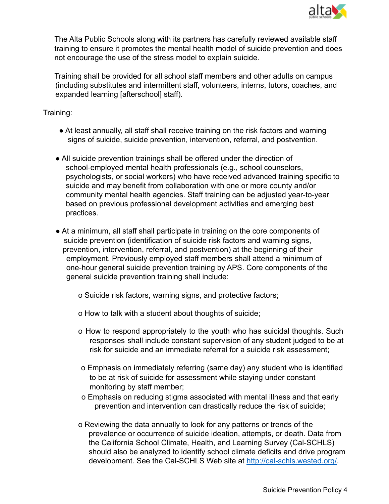

The Alta Public Schools along with its partners has carefully reviewed available staff training to ensure it promotes the mental health model of suicide prevention and does not encourage the use of the stress model to explain suicide.

Training shall be provided for all school staff members and other adults on campus (including substitutes and intermittent staff, volunteers, interns, tutors, coaches, and expanded learning [afterschool] staff).

### Training:

- At least annually, all staff shall receive training on the risk factors and warning signs of suicide, suicide prevention, intervention, referral, and postvention.
- All suicide prevention trainings shall be offered under the direction of school-employed mental health professionals (e.g., school counselors, psychologists, or social workers) who have received advanced training specific to suicide and may benefit from collaboration with one or more county and/or community mental health agencies. Staff training can be adjusted year-to-year based on previous professional development activities and emerging best practices.
- At a minimum, all staff shall participate in training on the core components of suicide prevention (identification of suicide risk factors and warning signs, prevention, intervention, referral, and postvention) at the beginning of their employment. Previously employed staff members shall attend a minimum of one-hour general suicide prevention training by APS. Core components of the general suicide prevention training shall include:
	- o Suicide risk factors, warning signs, and protective factors;
	- o How to talk with a student about thoughts of suicide;
	- o How to respond appropriately to the youth who has suicidal thoughts. Such responses shall include constant supervision of any student judged to be at risk for suicide and an immediate referral for a suicide risk assessment;
	- o Emphasis on immediately referring (same day) any student who is identified to be at risk of suicide for assessment while staying under constant monitoring by staff member;
	- o Emphasis on reducing stigma associated with mental illness and that early prevention and intervention can drastically reduce the risk of suicide;
	- o Reviewing the data annually to look for any patterns or trends of the prevalence or occurrence of suicide ideation, attempts, or death. Data from the California School Climate, Health, and Learning Survey (Cal-SCHLS) should also be analyzed to identify school climate deficits and drive program development. See the Cal-SCHLS Web site at http://cal-schls.wested.org/.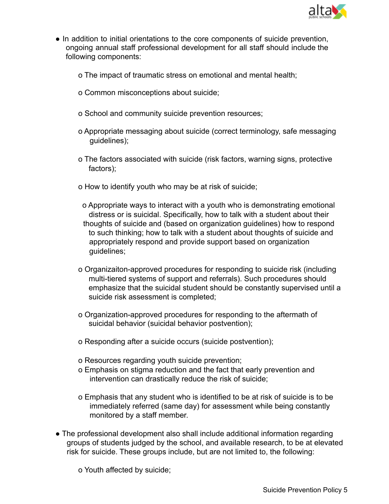

- In addition to initial orientations to the core components of suicide prevention, ongoing annual staff professional development for all staff should include the following components:
	- o The impact of traumatic stress on emotional and mental health;
	- o Common misconceptions about suicide;
	- o School and community suicide prevention resources;
	- o Appropriate messaging about suicide (correct terminology, safe messaging guidelines);
	- o The factors associated with suicide (risk factors, warning signs, protective factors);
	- o How to identify youth who may be at risk of suicide;
		- o Appropriate ways to interact with a youth who is demonstrating emotional distress or is suicidal. Specifically, how to talk with a student about their thoughts of suicide and (based on organization guidelines) how to respond to such thinking; how to talk with a student about thoughts of suicide and appropriately respond and provide support based on organization guidelines;
	- o Organizaiton-approved procedures for responding to suicide risk (including multi-tiered systems of support and referrals). Such procedures should emphasize that the suicidal student should be constantly supervised until a suicide risk assessment is completed;
	- o Organization-approved procedures for responding to the aftermath of suicidal behavior (suicidal behavior postvention);
	- o Responding after a suicide occurs (suicide postvention);
	- o Resources regarding youth suicide prevention;
	- o Emphasis on stigma reduction and the fact that early prevention and intervention can drastically reduce the risk of suicide;
	- o Emphasis that any student who is identified to be at risk of suicide is to be immediately referred (same day) for assessment while being constantly monitored by a staff member.
- The professional development also shall include additional information regarding groups of students judged by the school, and available research, to be at elevated risk for suicide. These groups include, but are not limited to, the following:
	- o Youth affected by suicide;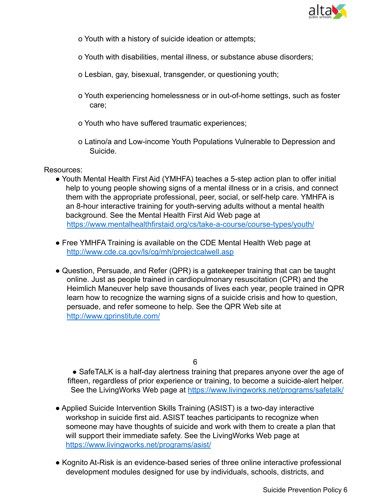

- o Youth with a history of suicide ideation or attempts;
- o Youth with disabilities, mental illness, or substance abuse disorders;
- o Lesbian, gay, bisexual, transgender, or questioning youth;
- o Youth experiencing homelessness or in out-of-home settings, such as foster care;
- o Youth who have suffered traumatic experiences;
- o Latino/a and Low-income Youth Populations Vulnerable to Depression and Suicide.

Resources:

- Youth Mental Health First Aid (YMHFA) teaches a 5-step action plan to offer initial help to young people showing signs of a mental illness or in a crisis, and connect them with the appropriate professional, peer, social, or self-help care. YMHFA is an 8-hour interactive training for youth-serving adults without a mental health background. See the Mental Health First Aid Web page at https://www.mentalhealthfirstaid.org/cs/take-a-course/course-types/youth/
- Free YMHFA Training is available on the CDE Mental Health Web page at http://www.cde.ca.gov/ls/cg/mh/projectcalwell.asp
- Question, Persuade, and Refer (QPR) is a gatekeeper training that can be taught online. Just as people trained in cardiopulmonary resuscitation (CPR) and the Heimlich Maneuver help save thousands of lives each year, people trained in QPR learn how to recognize the warning signs of a suicide crisis and how to question, persuade, and refer someone to help. See the QPR Web site at http://www.qprinstitute.com/

6

• SafeTALK is a half-day alertness training that prepares anyone over the age of fifteen, regardless of prior experience or training, to become a suicide-alert helper. See the LivingWorks Web page at https://www.livingworks.net/programs/safetalk/

- Applied Suicide Intervention Skills Training (ASIST) is a two-day interactive workshop in suicide first aid. ASIST teaches participants to recognize when someone may have thoughts of suicide and work with them to create a plan that will support their immediate safety. See the LivingWorks Web page at https://www.livingworks.net/programs/asist/
- Kognito At-Risk is an evidence-based series of three online interactive professional development modules designed for use by individuals, schools, districts, and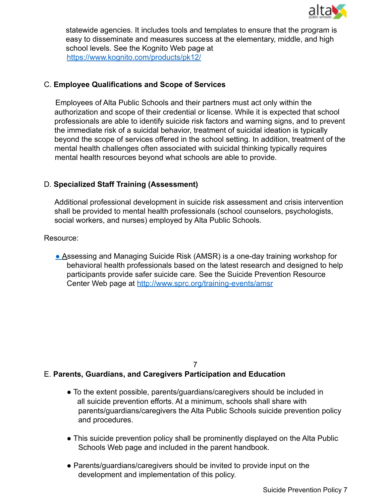

statewide agencies. It includes tools and templates to ensure that the program is easy to disseminate and measures success at the elementary, middle, and high school levels. See the Kognito Web page at https://www.kognito.com/products/pk12/

### C. **Employee Qualifications and Scope of Services**

Employees of Alta Public Schools and their partners must act only within the authorization and scope of their credential or license. While it is expected that school professionals are able to identify suicide risk factors and warning signs, and to prevent the immediate risk of a suicidal behavior, treatment of suicidal ideation is typically beyond the scope of services offered in the school setting. In addition, treatment of the mental health challenges often associated with suicidal thinking typically requires mental health resources beyond what schools are able to provide.

### D. **Specialized Staff Training (Assessment)**

Additional professional development in suicide risk assessment and crisis intervention shall be provided to mental health professionals (school counselors, psychologists, social workers, and nurses) employed by Alta Public Schools.

Resource:

■ Assessing and Managing Suicide Risk (AMSR) is a one-day training workshop for behavioral health professionals based on the latest research and designed to help participants provide safer suicide care. See the Suicide Prevention Resource Center Web page at http://www.sprc.org/training-events/amsr

7

#### E. **Parents, Guardians, and Caregivers Participation and Education**

- To the extent possible, parents/guardians/caregivers should be included in all suicide prevention efforts. At a minimum, schools shall share with parents/guardians/caregivers the Alta Public Schools suicide prevention policy and procedures.
- This suicide prevention policy shall be prominently displayed on the Alta Public Schools Web page and included in the parent handbook.
- Parents/guardians/caregivers should be invited to provide input on the development and implementation of this policy.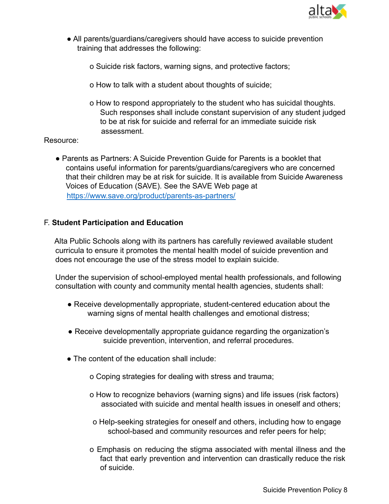

- All parents/guardians/caregivers should have access to suicide prevention training that addresses the following:
	- o Suicide risk factors, warning signs, and protective factors;
	- o How to talk with a student about thoughts of suicide;
	- o How to respond appropriately to the student who has suicidal thoughts. Such responses shall include constant supervision of any student judged to be at risk for suicide and referral for an immediate suicide risk assessment.

#### Resource:

● Parents as Partners: A Suicide Prevention Guide for Parents is a booklet that contains useful information for parents/guardians/caregivers who are concerned that their children may be at risk for suicide. It is available from Suicide Awareness Voices of Education (SAVE). See the SAVE Web page at https://www.save.org/product/parents-as-partners/

#### F. **Student Participation and Education**

Alta Public Schools along with its partners has carefully reviewed available student curricula to ensure it promotes the mental health model of suicide prevention and does not encourage the use of the stress model to explain suicide.

Under the supervision of school-employed mental health professionals, and following consultation with county and community mental health agencies, students shall:

- Receive developmentally appropriate, student-centered education about the warning signs of mental health challenges and emotional distress;
- Receive developmentally appropriate guidance regarding the organization's suicide prevention, intervention, and referral procedures.
- The content of the education shall include:
	- o Coping strategies for dealing with stress and trauma;
	- o How to recognize behaviors (warning signs) and life issues (risk factors) associated with suicide and mental health issues in oneself and others;
	- o Help-seeking strategies for oneself and others, including how to engage school-based and community resources and refer peers for help;
	- o Emphasis on reducing the stigma associated with mental illness and the fact that early prevention and intervention can drastically reduce the risk of suicide.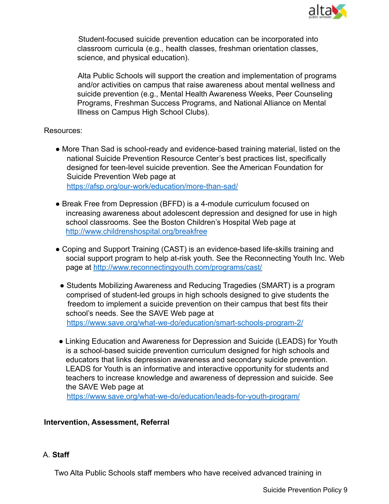

Student-focused suicide prevention education can be incorporated into classroom curricula (e.g., health classes, freshman orientation classes, science, and physical education).

Alta Public Schools will support the creation and implementation of programs and/or activities on campus that raise awareness about mental wellness and suicide prevention (e.g., Mental Health Awareness Weeks, Peer Counseling Programs, Freshman Success Programs, and National Alliance on Mental Illness on Campus High School Clubs).

#### Resources:

● More Than Sad is school-ready and evidence-based training material, listed on the national Suicide Prevention Resource Center's best practices list, specifically designed for teen-level suicide prevention. See the American Foundation for Suicide Prevention Web page at https://afsp.org/our-work/education/more-than-sad/

● Break Free from Depression (BFFD) is a 4-module curriculum focused on increasing awareness about adolescent depression and designed for use in high school classrooms. See the Boston Children's Hospital Web page at http://www.childrenshospital.org/breakfree

- Coping and Support Training (CAST) is an evidence-based life-skills training and social support program to help at-risk youth. See the Reconnecting Youth Inc. Web page at http://www.reconnectingyouth.com/programs/cast/
- Students Mobilizing Awareness and Reducing Tragedies (SMART) is a program comprised of student-led groups in high schools designed to give students the freedom to implement a suicide prevention on their campus that best fits their school's needs. See the SAVE Web page at https://www.save.org/what-we-do/education/smart-schools-program-2/
- Linking Education and Awareness for Depression and Suicide (LEADS) for Youth is a school-based suicide prevention curriculum designed for high schools and educators that links depression awareness and secondary suicide prevention. LEADS for Youth is an informative and interactive opportunity for students and teachers to increase knowledge and awareness of depression and suicide. See the SAVE Web page at

https://www.save.org/what-we-do/education/leads-for-youth-program/

## **Intervention, Assessment, Referral**

## A. **Staff**

Two Alta Public Schools staff members who have received advanced training in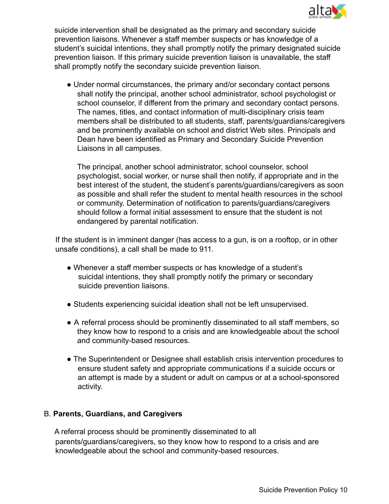

suicide intervention shall be designated as the primary and secondary suicide prevention liaisons. Whenever a staff member suspects or has knowledge of a student's suicidal intentions, they shall promptly notify the primary designated suicide prevention liaison. If this primary suicide prevention liaison is unavailable, the staff shall promptly notify the secondary suicide prevention liaison.

• Under normal circumstances, the primary and/or secondary contact persons shall notify the principal, another school administrator, school psychologist or school counselor, if different from the primary and secondary contact persons. The names, titles, and contact information of multi-disciplinary crisis team members shall be distributed to all students, staff, parents/guardians/caregivers and be prominently available on school and district Web sites. Principals and Dean have been identified as Primary and Secondary Suicide Prevention Liaisons in all campuses.

The principal, another school administrator, school counselor, school psychologist, social worker, or nurse shall then notify, if appropriate and in the best interest of the student, the student's parents/guardians/caregivers as soon as possible and shall refer the student to mental health resources in the school or community. Determination of notification to parents/guardians/caregivers should follow a formal initial assessment to ensure that the student is not endangered by parental notification.

If the student is in imminent danger (has access to a gun, is on a rooftop, or in other unsafe conditions), a call shall be made to 911.

- Whenever a staff member suspects or has knowledge of a student's suicidal intentions, they shall promptly notify the primary or secondary suicide prevention liaisons.
- Students experiencing suicidal ideation shall not be left unsupervised.
- A referral process should be prominently disseminated to all staff members, so they know how to respond to a crisis and are knowledgeable about the school and community-based resources.
- The Superintendent or Designee shall establish crisis intervention procedures to ensure student safety and appropriate communications if a suicide occurs or an attempt is made by a student or adult on campus or at a school-sponsored activity.

## B. **Parents, Guardians, and Caregivers**

A referral process should be prominently disseminated to all parents/guardians/caregivers, so they know how to respond to a crisis and are knowledgeable about the school and community-based resources.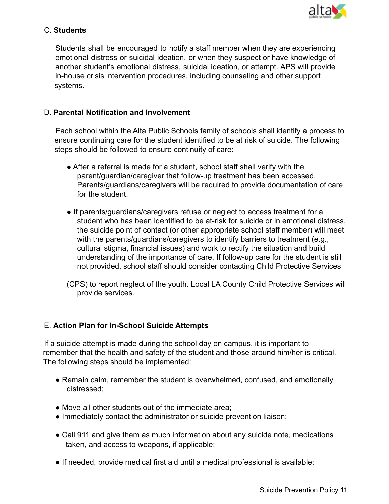

### C. **Students**

Students shall be encouraged to notify a staff member when they are experiencing emotional distress or suicidal ideation, or when they suspect or have knowledge of another student's emotional distress, suicidal ideation, or attempt. APS will provide in-house crisis intervention procedures, including counseling and other support systems.

### D. **Parental Notification and Involvement**

Each school within the Alta Public Schools family of schools shall identify a process to ensure continuing care for the student identified to be at risk of suicide. The following steps should be followed to ensure continuity of care:

- After a referral is made for a student, school staff shall verify with the parent/guardian/caregiver that follow-up treatment has been accessed. Parents/guardians/caregivers will be required to provide documentation of care for the student.
- If parents/guardians/caregivers refuse or neglect to access treatment for a student who has been identified to be at-risk for suicide or in emotional distress, the suicide point of contact (or other appropriate school staff member) will meet with the parents/quardians/caregivers to identify barriers to treatment (e.g., cultural stigma, financial issues) and work to rectify the situation and build understanding of the importance of care. If follow-up care for the student is still not provided, school staff should consider contacting Child Protective Services
- (CPS) to report neglect of the youth. Local LA County Child Protective Services will provide services.

## E. **Action Plan for In-School Suicide Attempts**

If a suicide attempt is made during the school day on campus, it is important to remember that the health and safety of the student and those around him/her is critical. The following steps should be implemented:

- Remain calm, remember the student is overwhelmed, confused, and emotionally distressed;
- Move all other students out of the immediate area:
- Immediately contact the administrator or suicide prevention liaison;
- Call 911 and give them as much information about any suicide note, medications taken, and access to weapons, if applicable;
- If needed, provide medical first aid until a medical professional is available;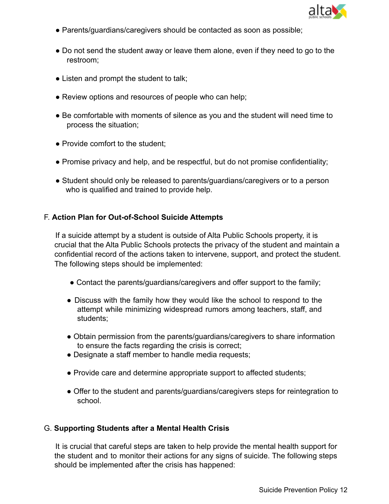

- Parents/guardians/caregivers should be contacted as soon as possible;
- Do not send the student away or leave them alone, even if they need to go to the restroom;
- Listen and prompt the student to talk;
- Review options and resources of people who can help;
- Be comfortable with moments of silence as you and the student will need time to process the situation;
- Provide comfort to the student;
- Promise privacy and help, and be respectful, but do not promise confidentiality;
- Student should only be released to parents/guardians/caregivers or to a person who is qualified and trained to provide help.

## F. **Action Plan for Out-of-School Suicide Attempts**

If a suicide attempt by a student is outside of Alta Public Schools property, it is crucial that the Alta Public Schools protects the privacy of the student and maintain a confidential record of the actions taken to intervene, support, and protect the student. The following steps should be implemented:

- Contact the parents/guardians/caregivers and offer support to the family;
- Discuss with the family how they would like the school to respond to the attempt while minimizing widespread rumors among teachers, staff, and students;
- Obtain permission from the parents/guardians/caregivers to share information to ensure the facts regarding the crisis is correct;
- Designate a staff member to handle media requests:
- Provide care and determine appropriate support to affected students;
- Offer to the student and parents/guardians/caregivers steps for reintegration to school.

## G. **Supporting Students after a Mental Health Crisis**

It is crucial that careful steps are taken to help provide the mental health support for the student and to monitor their actions for any signs of suicide. The following steps should be implemented after the crisis has happened: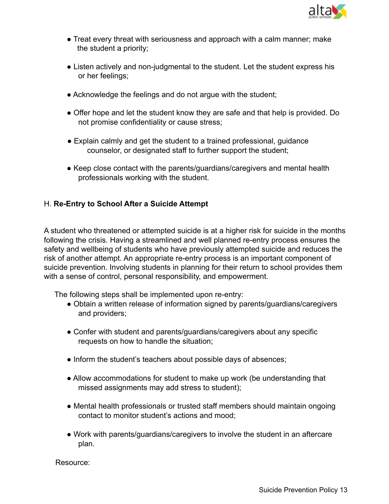

- Treat every threat with seriousness and approach with a calm manner; make the student a priority;
- Listen actively and non-judgmental to the student. Let the student express his or her feelings;
- Acknowledge the feelings and do not argue with the student;
- Offer hope and let the student know they are safe and that help is provided. Do not promise confidentiality or cause stress;
- Explain calmly and get the student to a trained professional, guidance counselor, or designated staff to further support the student;
- Keep close contact with the parents/guardians/caregivers and mental health professionals working with the student.

## H. **Re-Entry to School After a Suicide Attempt**

A student who threatened or attempted suicide is at a higher risk for suicide in the months following the crisis. Having a streamlined and well planned re-entry process ensures the safety and wellbeing of students who have previously attempted suicide and reduces the risk of another attempt. An appropriate re-entry process is an important component of suicide prevention. Involving students in planning for their return to school provides them with a sense of control, personal responsibility, and empowerment.

The following steps shall be implemented upon re-entry:

- Obtain a written release of information signed by parents/guardians/caregivers and providers;
- Confer with student and parents/guardians/caregivers about any specific requests on how to handle the situation;
- Inform the student's teachers about possible days of absences;
- Allow accommodations for student to make up work (be understanding that missed assignments may add stress to student);
- Mental health professionals or trusted staff members should maintain ongoing contact to monitor student's actions and mood;
- Work with parents/guardians/caregivers to involve the student in an aftercare plan.

Resource: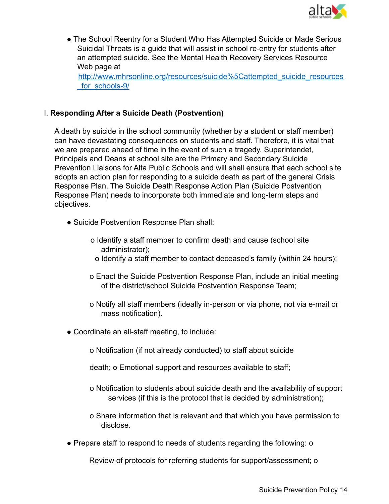

● The School Reentry for a Student Who Has Attempted Suicide or Made Serious Suicidal Threats is a guide that will assist in school re-entry for students after an attempted suicide. See the Mental Health Recovery Services Resource Web page at

http://www.mhrsonline.org/resources/suicide%5Cattempted\_suicide\_resources for\_schools-9/

### I. **Responding After a Suicide Death (Postvention)**

A death by suicide in the school community (whether by a student or staff member) can have devastating consequences on students and staff. Therefore, it is vital that we are prepared ahead of time in the event of such a tragedy. Superintendet, Principals and Deans at school site are the Primary and Secondary Suicide Prevention Liaisons for Alta Public Schools and will shall ensure that each school site adopts an action plan for responding to a suicide death as part of the general Crisis Response Plan. The Suicide Death Response Action Plan (Suicide Postvention Response Plan) needs to incorporate both immediate and long-term steps and objectives.

- Suicide Postvention Response Plan shall:
	- o Identify a staff member to confirm death and cause (school site administrator);
		- o Identify a staff member to contact deceased's family (within 24 hours);
	- o Enact the Suicide Postvention Response Plan, include an initial meeting of the district/school Suicide Postvention Response Team;
	- o Notify all staff members (ideally in-person or via phone, not via e-mail or mass notification).
- Coordinate an all-staff meeting, to include:
	- o Notification (if not already conducted) to staff about suicide

death; o Emotional support and resources available to staff;

- o Notification to students about suicide death and the availability of support services (if this is the protocol that is decided by administration);
- o Share information that is relevant and that which you have permission to disclose.
- Prepare staff to respond to needs of students regarding the following: o

Review of protocols for referring students for support/assessment; o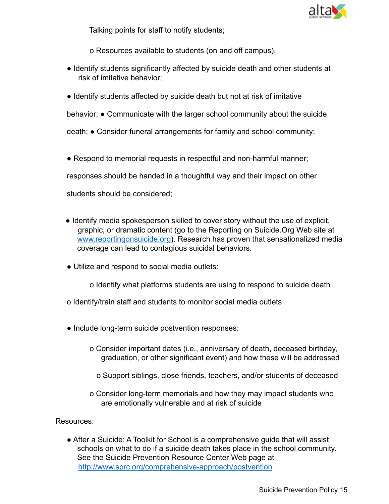

Talking points for staff to notify students;

o Resources available to students (on and off campus).

- Identify students significantly affected by suicide death and other students at risk of imitative behavior;
- Identify students affected by suicide death but not at risk of imitative

behavior; • Communicate with the larger school community about the suicide

death; ● Consider funeral arrangements for family and school community;

• Respond to memorial requests in respectful and non-harmful manner;

responses should be handed in a thoughtful way and their impact on other

students should be considered;

- Identify media spokesperson skilled to cover story without the use of explicit, graphic, or dramatic content (go to the Reporting on Suicide.Org Web site at www.reportingonsuicide.org). Research has proven that sensationalized media coverage can lead to contagious suicidal behaviors.
- Utilize and respond to social media outlets:

o Identify what platforms students are using to respond to suicide death

- o Identify/train staff and students to monitor social media outlets
- Include long-term suicide postvention responses:
	- o Consider important dates (i.e., anniversary of death, deceased birthday, graduation, or other significant event) and how these will be addressed
		- o Support siblings, close friends, teachers, and/or students of deceased
	- o Consider long-term memorials and how they may impact students who are emotionally vulnerable and at risk of suicide

Resources:

● After a Suicide: A Toolkit for School is a comprehensive guide that will assist schools on what to do if a suicide death takes place in the school community. See the Suicide Prevention Resource Center Web page at http://www.sprc.org/comprehensive-approach/postvention